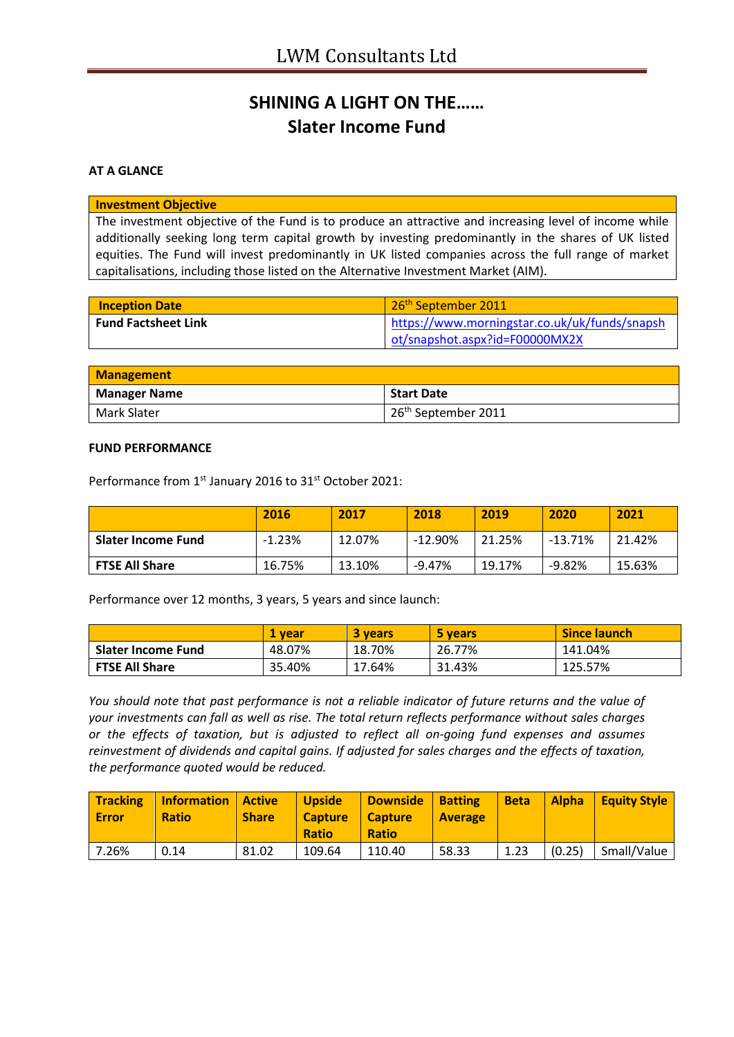## **SHINING A LIGHT ON THE…… Slater Income Fund**

### **AT A GLANCE**

#### **Investment Objective**

The investment objective of the Fund is to produce an attractive and increasing level of income while additionally seeking long term capital growth by investing predominantly in the shares of UK listed equities. The Fund will invest predominantly in UK listed companies across the full range of market capitalisations, including those listed on the Alternative Investment Market (AIM).

| <b>Inception Date</b>      | 26 <sup>th</sup> September 2011               |
|----------------------------|-----------------------------------------------|
| <b>Fund Factsheet Link</b> | https://www.morningstar.co.uk/uk/funds/snapsh |
|                            | ot/snapshot.aspx?id=F00000MX2X                |

| <b>Management</b>   |                                 |  |
|---------------------|---------------------------------|--|
| <b>Manager Name</b> | Start Date                      |  |
| Mark Slater         | 26 <sup>th</sup> September 2011 |  |

#### **FUND PERFORMANCE**

Performance from 1<sup>st</sup> January 2016 to 31<sup>st</sup> October 2021:

|                           | 2016     | 2017   | 2018     | 2019   | 2020    | 2021   |
|---------------------------|----------|--------|----------|--------|---------|--------|
| <b>Slater Income Fund</b> | $-1.23%$ | 12.07% | -12.90%  | 21.25% | -13.71% | 21.42% |
| <b>FTSE All Share</b>     | 16.75%   | 13.10% | $-9.47%$ | 19.17% | -9.82%  | 15.63% |

Performance over 12 months, 3 years, 5 years and since launch:

|                       | . vear | <b>3 vears</b> | 5 years | <b>Since launch</b> |
|-----------------------|--------|----------------|---------|---------------------|
| Slater Income Fund    | 48.07% | 18.70%         | 26.77%  | 141.04%             |
| <b>FTSE All Share</b> | 35.40% | 17.64%         | 31.43%  | 125.57%             |

*You should note that past performance is not a reliable indicator of future returns and the value of your investments can fall as well as rise. The total return reflects performance without sales charges or the effects of taxation, but is adjusted to reflect all on-going fund expenses and assumes reinvestment of dividends and capital gains. If adjusted for sales charges and the effects of taxation, the performance quoted would be reduced.*

| <b>Tracking</b><br><b>Error</b> | Information   Active<br><b>Ratio</b> | <b>Share</b> | <b>Upside</b><br><b>Capture</b><br><b>Ratio</b> | Downside<br>  Capture<br><b>Ratio</b> | <b>Batting</b><br><b>Average</b> | <b>Beta</b> | <b>Alpha</b> | Equity Style |
|---------------------------------|--------------------------------------|--------------|-------------------------------------------------|---------------------------------------|----------------------------------|-------------|--------------|--------------|
| 7.26%                           | 0.14                                 | 81.02        | 109.64                                          | 110.40                                | 58.33                            | 1.23        | (0.25)       | Small/Value  |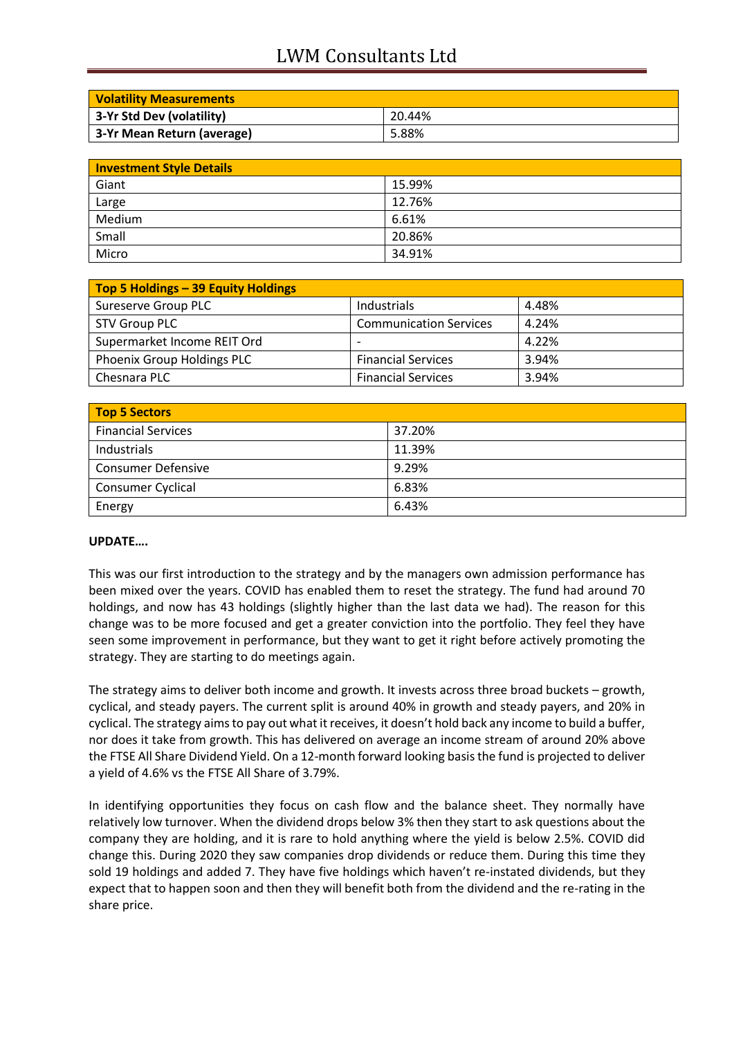# LWM Consultants Ltd

| <b>Volatility Measurements</b> |        |
|--------------------------------|--------|
| 3-Yr Std Dev (volatility)      | 20.44% |
| 3-Yr Mean Return (average)     | 5.88%  |

| <b>Investment Style Details</b> |        |  |
|---------------------------------|--------|--|
| Giant                           | 15.99% |  |
| Large                           | 12.76% |  |
| Medium                          | 6.61%  |  |
| Small                           | 20.86% |  |
| Micro                           | 34.91% |  |

| Top 5 Holdings - 39 Equity Holdings |                               |       |
|-------------------------------------|-------------------------------|-------|
| Sureserve Group PLC                 | Industrials                   | 4.48% |
| STV Group PLC                       | <b>Communication Services</b> | 4.24% |
| Supermarket Income REIT Ord         |                               | 4.22% |
| Phoenix Group Holdings PLC          | <b>Financial Services</b>     | 3.94% |
| Chesnara PLC                        | <b>Financial Services</b>     | 3.94% |

| <b>Top 5 Sectors</b>      |        |  |
|---------------------------|--------|--|
| <b>Financial Services</b> | 37.20% |  |
| Industrials               | 11.39% |  |
| <b>Consumer Defensive</b> | 9.29%  |  |
| <b>Consumer Cyclical</b>  | 6.83%  |  |
| Energy                    | 6.43%  |  |

### **UPDATE….**

This was our first introduction to the strategy and by the managers own admission performance has been mixed over the years. COVID has enabled them to reset the strategy. The fund had around 70 holdings, and now has 43 holdings (slightly higher than the last data we had). The reason for this change was to be more focused and get a greater conviction into the portfolio. They feel they have seen some improvement in performance, but they want to get it right before actively promoting the strategy. They are starting to do meetings again.

The strategy aims to deliver both income and growth. It invests across three broad buckets – growth, cyclical, and steady payers. The current split is around 40% in growth and steady payers, and 20% in cyclical. The strategy aims to pay out what it receives, it doesn't hold back any income to build a buffer, nor does it take from growth. This has delivered on average an income stream of around 20% above the FTSE All Share Dividend Yield. On a 12-month forward looking basis the fund is projected to deliver a yield of 4.6% vs the FTSE All Share of 3.79%.

In identifying opportunities they focus on cash flow and the balance sheet. They normally have relatively low turnover. When the dividend drops below 3% then they start to ask questions about the company they are holding, and it is rare to hold anything where the yield is below 2.5%. COVID did change this. During 2020 they saw companies drop dividends or reduce them. During this time they sold 19 holdings and added 7. They have five holdings which haven't re-instated dividends, but they expect that to happen soon and then they will benefit both from the dividend and the re-rating in the share price.